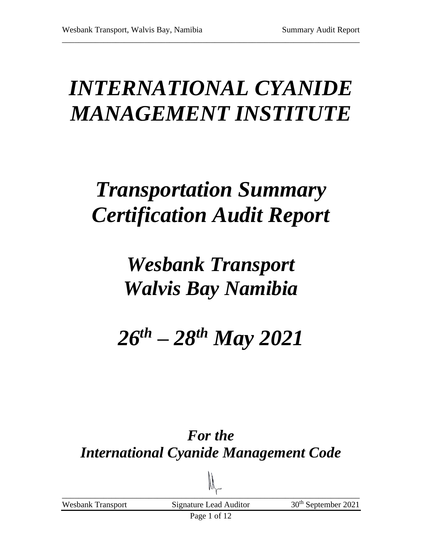# *INTERNATIONAL CYANIDE MANAGEMENT INSTITUTE*

\_\_\_\_\_\_\_\_\_\_\_\_\_\_\_\_\_\_\_\_\_\_\_\_\_\_\_\_\_\_\_\_\_\_\_\_\_\_\_\_\_\_\_\_\_\_\_\_\_\_\_\_\_\_\_\_\_\_\_\_\_\_\_\_\_\_\_\_\_\_\_\_

# *Transportation Summary Certification Audit Report*

## *Wesbank Transport Walvis Bay Namibia*

# *26th – 28th May 2021*

### *For the International Cyanide Management Code*

 $\Box$ Wesbank Transport Signature Lead Auditor 30<sup>th</sup> September 2021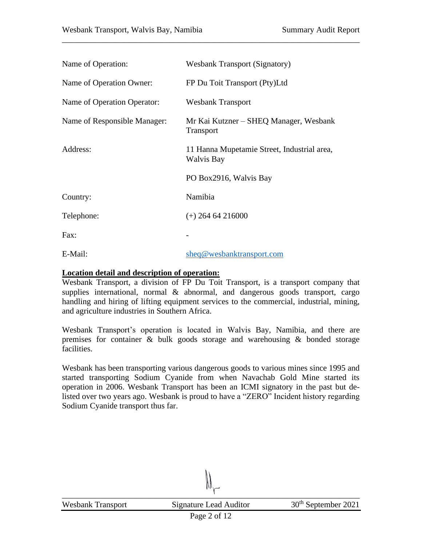| Name of Operation:           | <b>Wesbank Transport (Signatory)</b>                       |
|------------------------------|------------------------------------------------------------|
| Name of Operation Owner:     | FP Du Toit Transport (Pty)Ltd                              |
| Name of Operation Operator:  | <b>Wesbank Transport</b>                                   |
| Name of Responsible Manager: | Mr Kai Kutzner – SHEQ Manager, Wesbank<br><b>Transport</b> |
| Address:                     | 11 Hanna Mupetamie Street, Industrial area,<br>Walvis Bay  |
|                              | PO Box2916, Walvis Bay                                     |
| Country:                     | Namibia                                                    |
| Telephone:                   | $(+)$ 264 64 216000                                        |
| Fax:                         |                                                            |
| E-Mail:                      | sheq@wesbanktransport.com                                  |

\_\_\_\_\_\_\_\_\_\_\_\_\_\_\_\_\_\_\_\_\_\_\_\_\_\_\_\_\_\_\_\_\_\_\_\_\_\_\_\_\_\_\_\_\_\_\_\_\_\_\_\_\_\_\_\_\_\_\_\_\_\_\_\_\_\_\_\_\_\_\_\_

#### **Location detail and description of operation:**

Wesbank Transport, a division of FP Du Toit Transport, is a transport company that supplies international, normal  $\&$  abnormal, and dangerous goods transport, cargo handling and hiring of lifting equipment services to the commercial, industrial, mining, and agriculture industries in Southern Africa.

Wesbank Transport's operation is located in Walvis Bay, Namibia, and there are premises for container & bulk goods storage and warehousing & bonded storage facilities.

Wesbank has been transporting various dangerous goods to various mines since 1995 and started transporting Sodium Cyanide from when Navachab Gold Mine started its operation in 2006. Wesbank Transport has been an ICMI signatory in the past but delisted over two years ago. Wesbank is proud to have a "ZERO" Incident history regarding Sodium Cyanide transport thus far.

 $\mathbf{1}^+$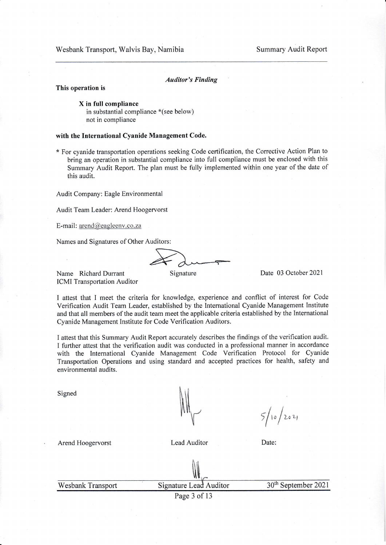#### Auditor's Finding

#### This operation is

X in full compliance in substantial compliance \*(see below) not in compliance

#### with the International Cyanide Management Code.

\* For cyanide transportation operations seeking Code ceftification, the Corrective Action Plan to bring an operation in substantial compliance into full compliance must be enclosed with this Summary Audit Report. The plan must be fully implemented within one year of the date of this audit.

Audit Company: Eagle Environmental

Audit Team Leader: Arend Hoogervorst

E-mail: arend@eagleenv.co.za

Names [and Signatures](mailto:arend@eagleenv.co.za) of Other Auditors:

Signature

Date 03 October 2021

Name Richard Durrant ICMI Transportation Auditor

I attest that I meet the criteria for knowledge, experience and conflict of interest for Code Verification Audit Team Leader, established by the International Cyanide Management Institute and that all members of the audit team meet the applicable criteria established by the International Cyanide Management Institute for Code Verification Auditors.

I attest that this Summary Audit Report accurately describes the findings of the verification audit. I further attest that the verification audit was conducted in a professional manner in accordance with the International Cyanide Management Code Verification Protocol for Cyanide Transportation Operations and using standard and accepted practices for health, safety and environmental audits.

Signed

 $\mu$ 

 $5/10/2021$ 

Arend Hoogervorst **Lead Auditor** Date:

**Wesbank Transport** 

Signature Lead Auditor

30<sup>th</sup> September 2021

Page 3 of <sup>13</sup>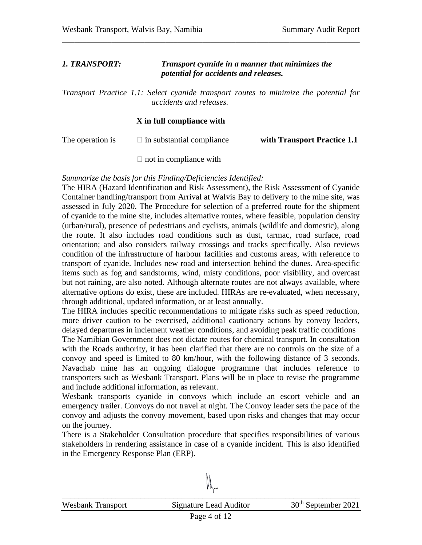### *1. TRANSPORT: Transport cyanide in a manner that minimizes the potential for accidents and releases.*

*Transport Practice 1.1: Select cyanide transport routes to minimize the potential for accidents and releases.* 

\_\_\_\_\_\_\_\_\_\_\_\_\_\_\_\_\_\_\_\_\_\_\_\_\_\_\_\_\_\_\_\_\_\_\_\_\_\_\_\_\_\_\_\_\_\_\_\_\_\_\_\_\_\_\_\_\_\_\_\_\_\_\_\_\_\_\_\_\_\_\_\_

### **X in full compliance with**

The operation is  $\square$  in substantial compliance **with Transport Practice 1.1** 

 $\Box$  not in compliance with

*Summarize the basis for this Finding/Deficiencies Identified:* 

The HIRA (Hazard Identification and Risk Assessment), the Risk Assessment of Cyanide Container handling/transport from Arrival at Walvis Bay to delivery to the mine site, was assessed in July 2020. The Procedure for selection of a preferred route for the shipment of cyanide to the mine site, includes alternative routes, where feasible, population density (urban/rural), presence of pedestrians and cyclists, animals (wildlife and domestic), along the route. It also includes road conditions such as dust, tarmac, road surface, road orientation; and also considers railway crossings and tracks specifically. Also reviews condition of the infrastructure of harbour facilities and customs areas, with reference to transport of cyanide. Includes new road and intersection behind the dunes. Area-specific items such as fog and sandstorms, wind, misty conditions, poor visibility, and overcast but not raining, are also noted. Although alternate routes are not always available, where alternative options do exist, these are included. HIRAs are re-evaluated, when necessary, through additional, updated information, or at least annually.

The HIRA includes specific recommendations to mitigate risks such as speed reduction, more driver caution to be exercised, additional cautionary actions by convoy leaders, delayed departures in inclement weather conditions, and avoiding peak traffic conditions The Namibian Government does not dictate routes for chemical transport. In consultation with the Roads authority, it has been clarified that there are no controls on the size of a convoy and speed is limited to 80 km/hour, with the following distance of 3 seconds. Navachab mine has an ongoing dialogue programme that includes reference to transporters such as Wesbank Transport. Plans will be in place to revise the programme and include additional information, as relevant.

Wesbank transports cyanide in convoys which include an escort vehicle and an emergency trailer. Convoys do not travel at night. The Convoy leader sets the pace of the convoy and adjusts the convoy movement, based upon risks and changes that may occur on the journey.

There is a Stakeholder Consultation procedure that specifies responsibilities of various stakeholders in rendering assistance in case of a cyanide incident. This is also identified in the Emergency Response Plan (ERP).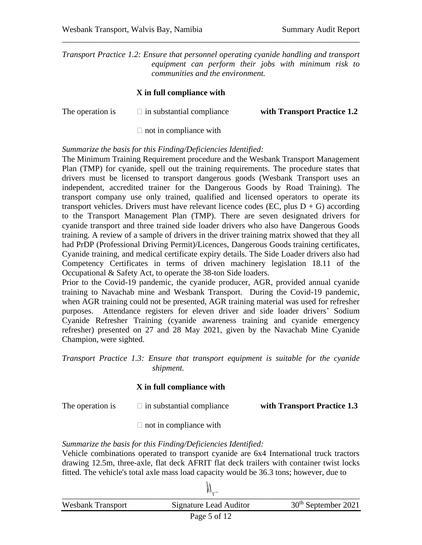*Transport Practice 1.2: Ensure that personnel operating cyanide handling and transport equipment can perform their jobs with minimum risk to communities and the environment.*

\_\_\_\_\_\_\_\_\_\_\_\_\_\_\_\_\_\_\_\_\_\_\_\_\_\_\_\_\_\_\_\_\_\_\_\_\_\_\_\_\_\_\_\_\_\_\_\_\_\_\_\_\_\_\_\_\_\_\_\_\_\_\_\_\_\_\_\_\_\_\_\_

#### **X in full compliance with**

| The operation is | $\Box$ in substantial compliance | with Transport Practice 1.2 |
|------------------|----------------------------------|-----------------------------|
|                  |                                  |                             |

 $\Box$  not in compliance with

#### *Summarize the basis for this Finding/Deficiencies Identified:*

The Minimum Training Requirement procedure and the Wesbank Transport Management Plan (TMP) for cyanide, spell out the training requirements. The procedure states that drivers must be licensed to transport dangerous goods (Wesbank Transport uses an independent, accredited trainer for the Dangerous Goods by Road Training). The transport company use only trained, qualified and licensed operators to operate its transport vehicles. Drivers must have relevant licence codes (EC, plus  $D + G$ ) according to the Transport Management Plan (TMP). There are seven designated drivers for cyanide transport and three trained side loader drivers who also have Dangerous Goods training. A review of a sample of drivers in the driver training matrix showed that they all had PrDP (Professional Driving Permit)/Licences, Dangerous Goods training certificates, Cyanide training, and medical certificate expiry details. The Side Loader drivers also had Competency Certificates in terms of driven machinery legislation 18.11 of the Occupational & Safety Act, to operate the 38-ton Side loaders.

Prior to the Covid-19 pandemic, the cyanide producer, AGR, provided annual cyanide training to Navachab mine and Wesbank Transport. During the Covid-19 pandemic, when AGR training could not be presented, AGR training material was used for refresher purposes. Attendance registers for eleven driver and side loader drivers' Sodium Cyanide Refresher Training (cyanide awareness training and cyanide emergency refresher) presented on 27 and 28 May 2021, given by the Navachab Mine Cyanide Champion, were sighted.

*Transport Practice 1.3: Ensure that transport equipment is suitable for the cyanide shipment.* 

#### **X in full compliance with**

The operation is  $\Box$  in substantial compliance with **Transport Practice 1.3** 

 $\Box$  not in compliance with

*Summarize the basis for this Finding/Deficiencies Identified:* 

Vehicle combinations operated to transport cyanide are 6x4 International truck tractors drawing 12.5m, three-axle, flat deck AFRIT flat deck trailers with container twist locks fitted. The vehicle's total axle mass load capacity would be 36.3 tons; however, due to

|                          | $\cdots$               |                                 |
|--------------------------|------------------------|---------------------------------|
| <b>Wesbank Transport</b> | Signature Lead Auditor | 30 <sup>th</sup> September 2021 |
|                          |                        |                                 |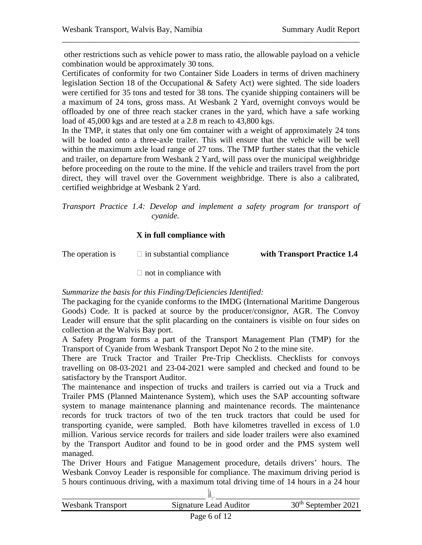other restrictions such as vehicle power to mass ratio, the allowable payload on a vehicle combination would be approximately 30 tons.

\_\_\_\_\_\_\_\_\_\_\_\_\_\_\_\_\_\_\_\_\_\_\_\_\_\_\_\_\_\_\_\_\_\_\_\_\_\_\_\_\_\_\_\_\_\_\_\_\_\_\_\_\_\_\_\_\_\_\_\_\_\_\_\_\_\_\_\_\_\_\_\_

Certificates of conformity for two Container Side Loaders in terms of driven machinery legislation Section 18 of the Occupational & Safety Act) were sighted. The side loaders were certified for 35 tons and tested for 38 tons. The cyanide shipping containers will be a maximum of 24 tons, gross mass. At Wesbank 2 Yard, overnight convoys would be offloaded by one of three reach stacker cranes in the yard, which have a safe working load of 45,000 kgs and are tested at a 2.8 m reach to 43,800 kgs.

In the TMP, it states that only one 6m container with a weight of approximately 24 tons will be loaded onto a three-axle trailer. This will ensure that the vehicle will be well within the maximum axle load range of 27 tons. The TMP further states that the vehicle and trailer, on departure from Wesbank 2 Yard, will pass over the municipal weighbridge before proceeding on the route to the mine. If the vehicle and trailers travel from the port direct, they will travel over the Government weighbridge. There is also a calibrated, certified weighbridge at Wesbank 2 Yard.

*Transport Practice 1.4: Develop and implement a safety program for transport of cyanide.* 

#### **X in full compliance with**

The operation is  $\Box$  in substantial compliance **with Transport Practice 1.4** 

 $\Box$  not in compliance with

#### *Summarize the basis for this Finding/Deficiencies Identified:*

The packaging for the cyanide conforms to the IMDG (International Maritime Dangerous Goods) Code. It is packed at source by the producer/consignor, AGR. The Convoy Leader will ensure that the split placarding on the containers is visible on four sides on collection at the Walvis Bay port.

A Safety Program forms a part of the Transport Management Plan (TMP) for the Transport of Cyanide from Wesbank Transport Depot No 2 to the mine site.

There are Truck Tractor and Trailer Pre-Trip Checklists. Checklists for convoys travelling on 08-03-2021 and 23-04-2021 were sampled and checked and found to be satisfactory by the Transport Auditor.

The maintenance and inspection of trucks and trailers is carried out via a Truck and Trailer PMS (Planned Maintenance System), which uses the SAP accounting software system to manage maintenance planning and maintenance records. The maintenance records for truck tractors of two of the ten truck tractors that could be used for transporting cyanide, were sampled. Both have kilometres travelled in excess of 1.0 million. Various service records for trailers and side loader trailers were also examined by the Transport Auditor and found to be in good order and the PMS system well managed.

The Driver Hours and Fatigue Management procedure, details drivers' hours. The Wesbank Convoy Leader is responsible for compliance. The maximum driving period is 5 hours continuous driving, with a maximum total driving time of 14 hours in a 24 hour

| <b>Wesbank Transport</b> | Signature Lead Auditor                      | 30 <sup>th</sup> September 2021 |
|--------------------------|---------------------------------------------|---------------------------------|
|                          | $D_{\alpha\alpha\alpha} \in \mathcal{A}$ 10 |                                 |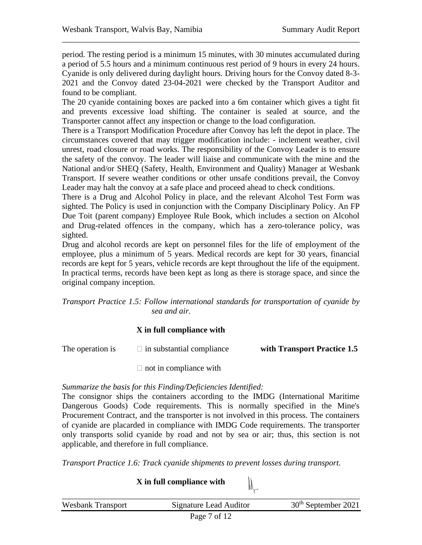period. The resting period is a minimum 15 minutes, with 30 minutes accumulated during a period of 5.5 hours and a minimum continuous rest period of 9 hours in every 24 hours. Cyanide is only delivered during daylight hours. Driving hours for the Convoy dated 8-3- 2021 and the Convoy dated 23-04-2021 were checked by the Transport Auditor and found to be compliant.

\_\_\_\_\_\_\_\_\_\_\_\_\_\_\_\_\_\_\_\_\_\_\_\_\_\_\_\_\_\_\_\_\_\_\_\_\_\_\_\_\_\_\_\_\_\_\_\_\_\_\_\_\_\_\_\_\_\_\_\_\_\_\_\_\_\_\_\_\_\_\_\_

The 20 cyanide containing boxes are packed into a 6m container which gives a tight fit and prevents excessive load shifting. The container is sealed at source, and the Transporter cannot affect any inspection or change to the load configuration.

There is a Transport Modification Procedure after Convoy has left the depot in place. The circumstances covered that may trigger modification include: - inclement weather, civil unrest, road closure or road works. The responsibility of the Convoy Leader is to ensure the safety of the convoy. The leader will liaise and communicate with the mine and the National and/or SHEQ (Safety, Health, Environment and Quality) Manager at Wesbank Transport. If severe weather conditions or other unsafe conditions prevail, the Convoy Leader may halt the convoy at a safe place and proceed ahead to check conditions.

There is a Drug and Alcohol Policy in place, and the relevant Alcohol Test Form was sighted. The Policy is used in conjunction with the Company Disciplinary Policy. An FP Due Toit (parent company) Employee Rule Book, which includes a section on Alcohol and Drug-related offences in the company, which has a zero-tolerance policy, was sighted.

Drug and alcohol records are kept on personnel files for the life of employment of the employee, plus a minimum of 5 years. Medical records are kept for 30 years, financial records are kept for 5 years, vehicle records are kept throughout the life of the equipment. In practical terms, records have been kept as long as there is storage space, and since the original company inception.

*Transport Practice 1.5: Follow international standards for transportation of cyanide by sea and air.* 

#### **X in full compliance with**

The operation is  $\Box$  in substantial compliance **with Transport Practice 1.5** 

 $\Box$  not in compliance with

#### *Summarize the basis for this Finding/Deficiencies Identified:*

The consignor ships the containers according to the IMDG (International Maritime Dangerous Goods) Code requirements. This is normally specified in the Mine's Procurement Contract, and the transporter is not involved in this process. The containers of cyanide are placarded in compliance with IMDG Code requirements. The transporter only transports solid cyanide by road and not by sea or air; thus, this section is not applicable, and therefore in full compliance.

*Transport Practice 1.6: Track cyanide shipments to prevent losses during transport.*

**X in full compliance with** 

| <b>Wesbank Transport</b> | Signature Lead Auditor | 30 <sup>th</sup> September 2021 |
|--------------------------|------------------------|---------------------------------|
|                          | Page 7 of 12           |                                 |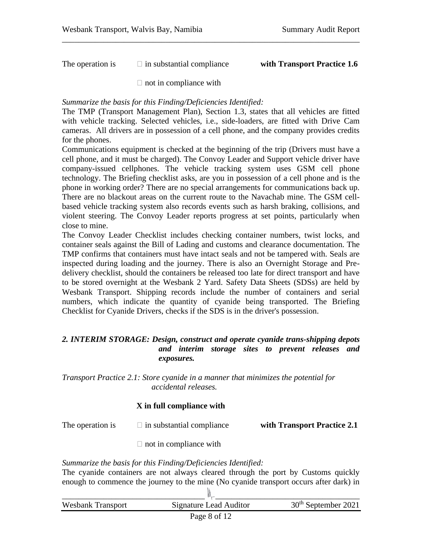The operation is  $\Box$  in substantial compliance **with Transport Practice 1.6** 

 $\Box$  not in compliance with

*Summarize the basis for this Finding/Deficiencies Identified:* 

The TMP (Transport Management Plan), Section 1.3, states that all vehicles are fitted with vehicle tracking. Selected vehicles, i.e., side-loaders, are fitted with Drive Cam cameras. All drivers are in possession of a cell phone, and the company provides credits for the phones.

\_\_\_\_\_\_\_\_\_\_\_\_\_\_\_\_\_\_\_\_\_\_\_\_\_\_\_\_\_\_\_\_\_\_\_\_\_\_\_\_\_\_\_\_\_\_\_\_\_\_\_\_\_\_\_\_\_\_\_\_\_\_\_\_\_\_\_\_\_\_\_\_

Communications equipment is checked at the beginning of the trip (Drivers must have a cell phone, and it must be charged). The Convoy Leader and Support vehicle driver have company-issued cellphones. The vehicle tracking system uses GSM cell phone technology. The Briefing checklist asks, are you in possession of a cell phone and is the phone in working order? There are no special arrangements for communications back up. There are no blackout areas on the current route to the Navachab mine. The GSM cellbased vehicle tracking system also records events such as harsh braking, collisions, and violent steering. The Convoy Leader reports progress at set points, particularly when close to mine.

The Convoy Leader Checklist includes checking container numbers, twist locks, and container seals against the Bill of Lading and customs and clearance documentation. The TMP confirms that containers must have intact seals and not be tampered with. Seals are inspected during loading and the journey. There is also an Overnight Storage and Predelivery checklist, should the containers be released too late for direct transport and have to be stored overnight at the Wesbank 2 Yard. Safety Data Sheets (SDSs) are held by Wesbank Transport. Shipping records include the number of containers and serial numbers, which indicate the quantity of cyanide being transported. The Briefing Checklist for Cyanide Drivers, checks if the SDS is in the driver's possession.

#### *2. INTERIM STORAGE: Design, construct and operate cyanide trans-shipping depots and interim storage sites to prevent releases and exposures.*

*Transport Practice 2.1: Store cyanide in a manner that minimizes the potential for accidental releases.* 

### **X in full compliance with**

The operation is  $\Box$  in substantial compliance with **Transport Practice 2.1** 

 $\Box$  not in compliance with

### *Summarize the basis for this Finding/Deficiencies Identified:*

The cyanide containers are not always cleared through the port by Customs quickly enough to commence the journey to the mine (No cyanide transport occurs after dark) in

| <b>Wesbank Transport</b> | Signature Lead Auditor | $30th$ September 2021 |
|--------------------------|------------------------|-----------------------|
|                          | Page 8 of 12           |                       |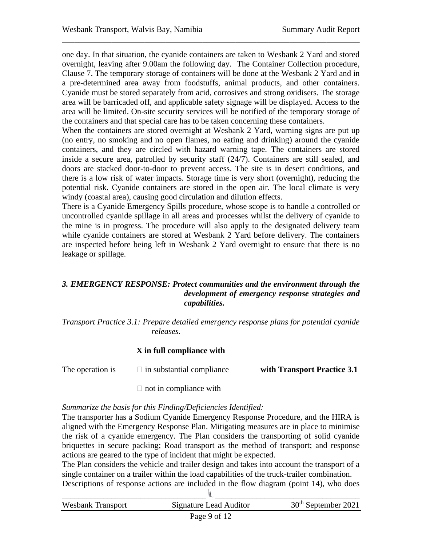one day. In that situation, the cyanide containers are taken to Wesbank 2 Yard and stored overnight, leaving after 9.00am the following day. The Container Collection procedure, Clause 7. The temporary storage of containers will be done at the Wesbank 2 Yard and in a pre-determined area away from foodstuffs, animal products, and other containers. Cyanide must be stored separately from acid, corrosives and strong oxidisers. The storage area will be barricaded off, and applicable safety signage will be displayed. Access to the area will be limited. On-site security services will be notified of the temporary storage of the containers and that special care has to be taken concerning these containers.

\_\_\_\_\_\_\_\_\_\_\_\_\_\_\_\_\_\_\_\_\_\_\_\_\_\_\_\_\_\_\_\_\_\_\_\_\_\_\_\_\_\_\_\_\_\_\_\_\_\_\_\_\_\_\_\_\_\_\_\_\_\_\_\_\_\_\_\_\_\_\_\_

When the containers are stored overnight at Wesbank 2 Yard, warning signs are put up (no entry, no smoking and no open flames, no eating and drinking) around the cyanide containers, and they are circled with hazard warning tape. The containers are stored inside a secure area, patrolled by security staff (24/7). Containers are still sealed, and doors are stacked door-to-door to prevent access. The site is in desert conditions, and there is a low risk of water impacts. Storage time is very short (overnight), reducing the potential risk. Cyanide containers are stored in the open air. The local climate is very windy (coastal area), causing good circulation and dilution effects.

There is a Cyanide Emergency Spills procedure, whose scope is to handle a controlled or uncontrolled cyanide spillage in all areas and processes whilst the delivery of cyanide to the mine is in progress. The procedure will also apply to the designated delivery team while cyanide containers are stored at Wesbank 2 Yard before delivery. The containers are inspected before being left in Wesbank 2 Yard overnight to ensure that there is no leakage or spillage.

#### *3. EMERGENCY RESPONSE: Protect communities and the environment through the development of emergency response strategies and capabilities.*

*Transport Practice 3.1: Prepare detailed emergency response plans for potential cyanide releases.* 

#### **X in full compliance with**

The operation is  $\Box$  in substantial compliance **with Transport Practice 3.1** 

 $\Box$  not in compliance with

#### *Summarize the basis for this Finding/Deficiencies Identified:*

The transporter has a Sodium Cyanide Emergency Response Procedure, and the HIRA is aligned with the Emergency Response Plan. Mitigating measures are in place to minimise the risk of a cyanide emergency. The Plan considers the transporting of solid cyanide briquettes in secure packing; Road transport as the method of transport; and response actions are geared to the type of incident that might be expected.

The Plan considers the vehicle and trailer design and takes into account the transport of a single container on a trailer within the load capabilities of the truck-trailer combination. Descriptions of response actions are included in the flow diagram (point 14), who does

| <b>Wesbank Transport</b> | Signature Lead Auditor | $30th$ September 2021 |
|--------------------------|------------------------|-----------------------|
|                          | Page 9 of 12           |                       |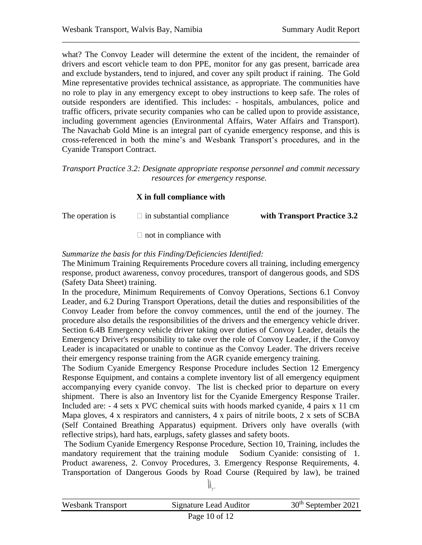what? The Convoy Leader will determine the extent of the incident, the remainder of drivers and escort vehicle team to don PPE, monitor for any gas present, barricade area and exclude bystanders, tend to injured, and cover any spilt product if raining. The Gold Mine representative provides technical assistance, as appropriate. The communities have no role to play in any emergency except to obey instructions to keep safe. The roles of outside responders are identified. This includes: - hospitals, ambulances, police and traffic officers, private security companies who can be called upon to provide assistance, including government agencies (Environmental Affairs, Water Affairs and Transport). The Navachab Gold Mine is an integral part of cyanide emergency response, and this is cross-referenced in both the mine's and Wesbank Transport's procedures, and in the Cyanide Transport Contract.

\_\_\_\_\_\_\_\_\_\_\_\_\_\_\_\_\_\_\_\_\_\_\_\_\_\_\_\_\_\_\_\_\_\_\_\_\_\_\_\_\_\_\_\_\_\_\_\_\_\_\_\_\_\_\_\_\_\_\_\_\_\_\_\_\_\_\_\_\_\_\_\_

*Transport Practice 3.2: Designate appropriate response personnel and commit necessary resources for emergency response.*

#### **X in full compliance with**

| The operation is | $\Box$ in substantial compliance | with Transport Practice 3.2 |
|------------------|----------------------------------|-----------------------------|
|                  |                                  |                             |

 $\Box$  not in compliance with

#### *Summarize the basis for this Finding/Deficiencies Identified:*

The Minimum Training Requirements Procedure covers all training, including emergency response, product awareness, convoy procedures, transport of dangerous goods, and SDS (Safety Data Sheet) training.

In the procedure, Minimum Requirements of Convoy Operations, Sections 6.1 Convoy Leader, and 6.2 During Transport Operations, detail the duties and responsibilities of the Convoy Leader from before the convoy commences, until the end of the journey. The procedure also details the responsibilities of the drivers and the emergency vehicle driver. Section 6.4B Emergency vehicle driver taking over duties of Convoy Leader, details the Emergency Driver's responsibility to take over the role of Convoy Leader, if the Convoy Leader is incapacitated or unable to continue as the Convoy Leader. The drivers receive their emergency response training from the AGR cyanide emergency training.

The Sodium Cyanide Emergency Response Procedure includes Section 12 Emergency Response Equipment, and contains a complete inventory list of all emergency equipment accompanying every cyanide convoy. The list is checked prior to departure on every shipment. There is also an Inventory list for the Cyanide Emergency Response Trailer. Included are: - 4 sets x PVC chemical suits with hoods marked cyanide, 4 pairs x 11 cm Mapa gloves, 4 x respirators and cannisters, 4 x pairs of nitrile boots, 2 x sets of SCBA (Self Contained Breathing Apparatus) equipment. Drivers only have overalls (with reflective strips), hard hats, earplugs, safety glasses and safety boots.

The Sodium Cyanide Emergency Response Procedure, Section 10, Training, includes the mandatory requirement that the training module Sodium Cyanide: consisting of 1. Product awareness, 2. Convoy Procedures, 3. Emergency Response Requirements, 4. Transportation of Dangerous Goods by Road Course (Required by law), be trained

| <b>Wesbank Transport</b> | Signature Lead Auditor | $30th$ September 2021 |
|--------------------------|------------------------|-----------------------|
|                          | Page 10 of $12$        |                       |

 $\mathbb{N}^-$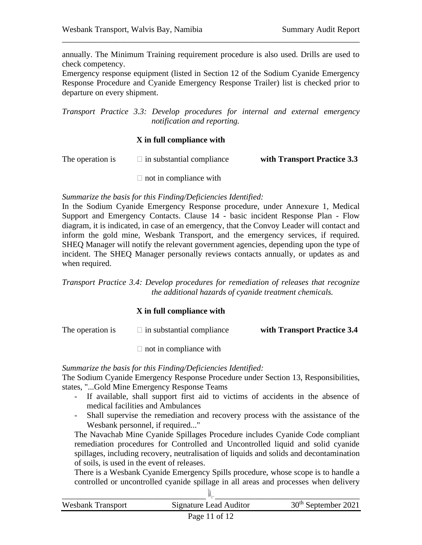annually. The Minimum Training requirement procedure is also used. Drills are used to check competency.

\_\_\_\_\_\_\_\_\_\_\_\_\_\_\_\_\_\_\_\_\_\_\_\_\_\_\_\_\_\_\_\_\_\_\_\_\_\_\_\_\_\_\_\_\_\_\_\_\_\_\_\_\_\_\_\_\_\_\_\_\_\_\_\_\_\_\_\_\_\_\_\_

Emergency response equipment (listed in Section 12 of the Sodium Cyanide Emergency Response Procedure and Cyanide Emergency Response Trailer) list is checked prior to departure on every shipment.

*Transport Practice 3.3: Develop procedures for internal and external emergency notification and reporting.*

#### **X in full compliance with**

| The operation is | $\Box$ in substantial compliance | with Transport Practice 3.3 |
|------------------|----------------------------------|-----------------------------|
|------------------|----------------------------------|-----------------------------|

 $\Box$  not in compliance with

#### *Summarize the basis for this Finding/Deficiencies Identified:*

In the Sodium Cyanide Emergency Response procedure, under Annexure 1, Medical Support and Emergency Contacts. Clause 14 - basic incident Response Plan - Flow diagram, it is indicated, in case of an emergency, that the Convoy Leader will contact and inform the gold mine, Wesbank Transport, and the emergency services, if required. SHEQ Manager will notify the relevant government agencies, depending upon the type of incident. The SHEQ Manager personally reviews contacts annually, or updates as and when required.

*Transport Practice 3.4: Develop procedures for remediation of releases that recognize the additional hazards of cyanide treatment chemicals.* 

#### **X in full compliance with**

The operation is  $\Box$  in substantial compliance **with Transport Practice 3.4** 

 $\Box$  not in compliance with

#### *Summarize the basis for this Finding/Deficiencies Identified:*

The Sodium Cyanide Emergency Response Procedure under Section 13, Responsibilities, states, "...Gold Mine Emergency Response Teams

- If available, shall support first aid to victims of accidents in the absence of medical facilities and Ambulances
- Shall supervise the remediation and recovery process with the assistance of the Wesbank personnel, if required..."

The Navachab Mine Cyanide Spillages Procedure includes Cyanide Code compliant remediation procedures for Controlled and Uncontrolled liquid and solid cyanide spillages, including recovery, neutralisation of liquids and solids and decontamination of soils, is used in the event of releases.

There is a Wesbank Cyanide Emergency Spills procedure, whose scope is to handle a controlled or uncontrolled cyanide spillage in all areas and processes when delivery

| <b>Wesbank Transport</b> | <b>Signature Lead Auditor</b> | $30th$ September 2021 |
|--------------------------|-------------------------------|-----------------------|